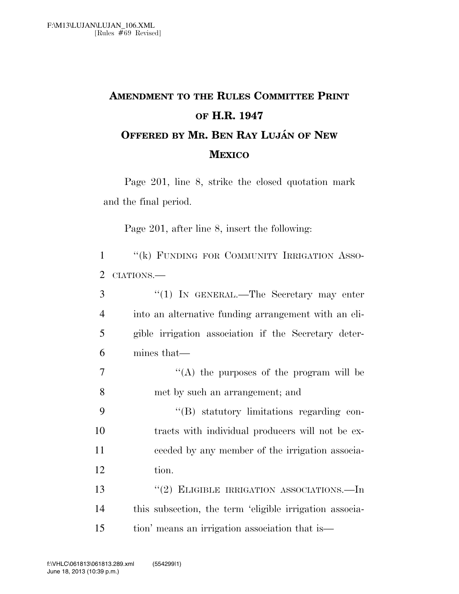## **AMENDMENT TO THE RULES COMMITTEE PRINT OF H.R. 1947 OFFERED BY MR. BEN RAY LUJA´ N OF NEW MEXICO**

Page 201, line 8, strike the closed quotation mark and the final period.

Page 201, after line 8, insert the following:

| $\mathbf{1}$   | "(k) FUNDING FOR COMMUNITY IRRIGATION ASSO-             |
|----------------|---------------------------------------------------------|
| 2              | CIATIONS.                                               |
| 3              | "(1) IN GENERAL.—The Secretary may enter                |
| $\overline{4}$ | into an alternative funding arrangement with an eli-    |
| 5              | gible irrigation association if the Secretary deter-    |
| 6              | mines that—                                             |
| $\overline{7}$ | "(A) the purposes of the program will be                |
| 8              | met by such an arrangement; and                         |
| 9              | "(B) statutory limitations regarding con-               |
| 10             | tracts with individual producers will not be ex-        |
| 11             | ceeded by any member of the irrigation associa-         |
| 12             | tion.                                                   |
| 13             | $\cdot\cdot$ (2) ELIGIBLE IRRIGATION ASSOCIATIONS.—In   |
| 14             | this subsection, the term 'eligible irrigation associa- |
| 15             | tion' means an irrigation association that is—          |